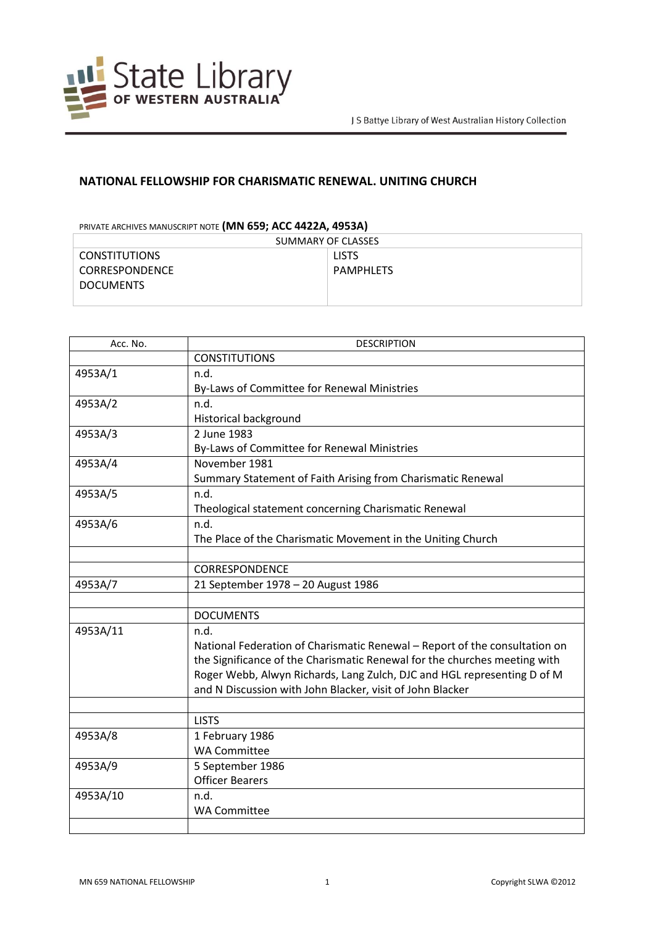

## **NATIONAL FELLOWSHIP FOR CHARISMATIC RENEWAL. UNITING CHURCH**

## PRIVATE ARCHIVES MANUSCRIPT NOTE **(MN 659; ACC 4422A, 4953A)**

| SUMMARY OF CLASSES    |              |
|-----------------------|--------------|
| <b>CONSTITUTIONS</b>  | <b>LISTS</b> |
| <b>CORRESPONDENCE</b> | PAMPHLETS    |
| <b>DOCUMENTS</b>      |              |
|                       |              |

| Acc. No. | <b>DESCRIPTION</b>                                                         |
|----------|----------------------------------------------------------------------------|
|          | <b>CONSTITUTIONS</b>                                                       |
| 4953A/1  | n.d.                                                                       |
|          | By-Laws of Committee for Renewal Ministries                                |
| 4953A/2  | n.d.                                                                       |
|          | <b>Historical background</b>                                               |
| 4953A/3  | 2 June 1983                                                                |
|          | By-Laws of Committee for Renewal Ministries                                |
| 4953A/4  | November 1981                                                              |
|          | Summary Statement of Faith Arising from Charismatic Renewal                |
| 4953A/5  | n.d.                                                                       |
|          | Theological statement concerning Charismatic Renewal                       |
| 4953A/6  | n.d.                                                                       |
|          | The Place of the Charismatic Movement in the Uniting Church                |
|          |                                                                            |
|          | <b>CORRESPONDENCE</b>                                                      |
| 4953A/7  | 21 September 1978 - 20 August 1986                                         |
|          |                                                                            |
|          | <b>DOCUMENTS</b>                                                           |
| 4953A/11 | n.d.                                                                       |
|          | National Federation of Charismatic Renewal - Report of the consultation on |
|          | the Significance of the Charismatic Renewal for the churches meeting with  |
|          | Roger Webb, Alwyn Richards, Lang Zulch, DJC and HGL representing D of M    |
|          | and N Discussion with John Blacker, visit of John Blacker                  |
|          |                                                                            |
|          | <b>LISTS</b>                                                               |
| 4953A/8  | 1 February 1986                                                            |
|          | <b>WA Committee</b>                                                        |
| 4953A/9  | 5 September 1986                                                           |
|          | <b>Officer Bearers</b>                                                     |
| 4953A/10 | n.d.                                                                       |
|          | <b>WA Committee</b>                                                        |
|          |                                                                            |